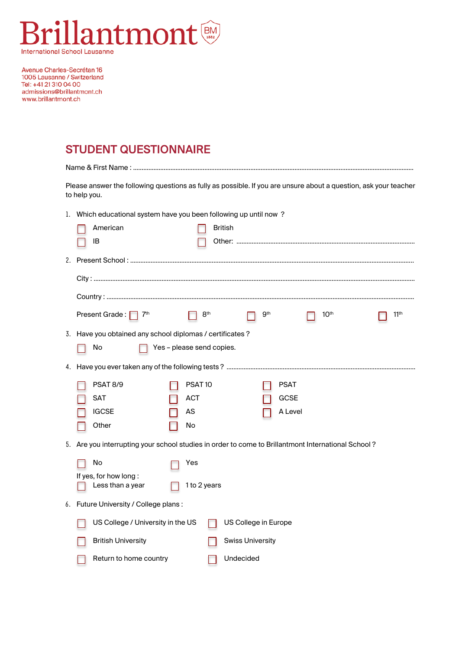

Avenue Charles-Secrétan 16 1005 Lausanne / Switzerland<br>Tel: +41 21 310 04 00 admissions@brillantmont.ch www.brillantmont.ch

## STUDENT QUESTIONNAIRE

| Please answer the following questions as fully as possible. If you are unsure about a question, ask your teacher<br>to help you. |                                                                                                                        |  |  |  |  |  |  |  |  |
|----------------------------------------------------------------------------------------------------------------------------------|------------------------------------------------------------------------------------------------------------------------|--|--|--|--|--|--|--|--|
|                                                                                                                                  | 1. Which educational system have you been following up until now?                                                      |  |  |  |  |  |  |  |  |
|                                                                                                                                  | American<br><b>British</b>                                                                                             |  |  |  |  |  |  |  |  |
|                                                                                                                                  | IB                                                                                                                     |  |  |  |  |  |  |  |  |
|                                                                                                                                  |                                                                                                                        |  |  |  |  |  |  |  |  |
|                                                                                                                                  |                                                                                                                        |  |  |  |  |  |  |  |  |
|                                                                                                                                  |                                                                                                                        |  |  |  |  |  |  |  |  |
|                                                                                                                                  | Present Grade: $\Box$<br>8 <sup>th</sup><br>9 <sup>th</sup><br>10 <sup>th</sup><br>11 <sup>th</sup><br>7 <sup>th</sup> |  |  |  |  |  |  |  |  |
|                                                                                                                                  | 3. Have you obtained any school diplomas / certificates ?                                                              |  |  |  |  |  |  |  |  |
|                                                                                                                                  | Yes - please send copies.<br>No                                                                                        |  |  |  |  |  |  |  |  |
|                                                                                                                                  |                                                                                                                        |  |  |  |  |  |  |  |  |
|                                                                                                                                  | <b>PSAT 8/9</b><br>PSAT <sub>10</sub><br><b>PSAT</b>                                                                   |  |  |  |  |  |  |  |  |
|                                                                                                                                  | <b>SAT</b><br><b>ACT</b><br>GCSE                                                                                       |  |  |  |  |  |  |  |  |
|                                                                                                                                  | <b>IGCSE</b><br>AS<br>A Level                                                                                          |  |  |  |  |  |  |  |  |
|                                                                                                                                  | Other<br>No                                                                                                            |  |  |  |  |  |  |  |  |
|                                                                                                                                  | 5. Are you interrupting your school studies in order to come to Brillantmont International School?                     |  |  |  |  |  |  |  |  |
|                                                                                                                                  | No<br>Yes                                                                                                              |  |  |  |  |  |  |  |  |
|                                                                                                                                  | If yes, for how long:                                                                                                  |  |  |  |  |  |  |  |  |
|                                                                                                                                  | Less than a year<br>1 to 2 years                                                                                       |  |  |  |  |  |  |  |  |
|                                                                                                                                  | 6. Future University / College plans:                                                                                  |  |  |  |  |  |  |  |  |
|                                                                                                                                  | US College / University in the US<br>US College in Europe                                                              |  |  |  |  |  |  |  |  |
|                                                                                                                                  | <b>British University</b><br><b>Swiss University</b>                                                                   |  |  |  |  |  |  |  |  |
|                                                                                                                                  | Undecided<br>Return to home country                                                                                    |  |  |  |  |  |  |  |  |